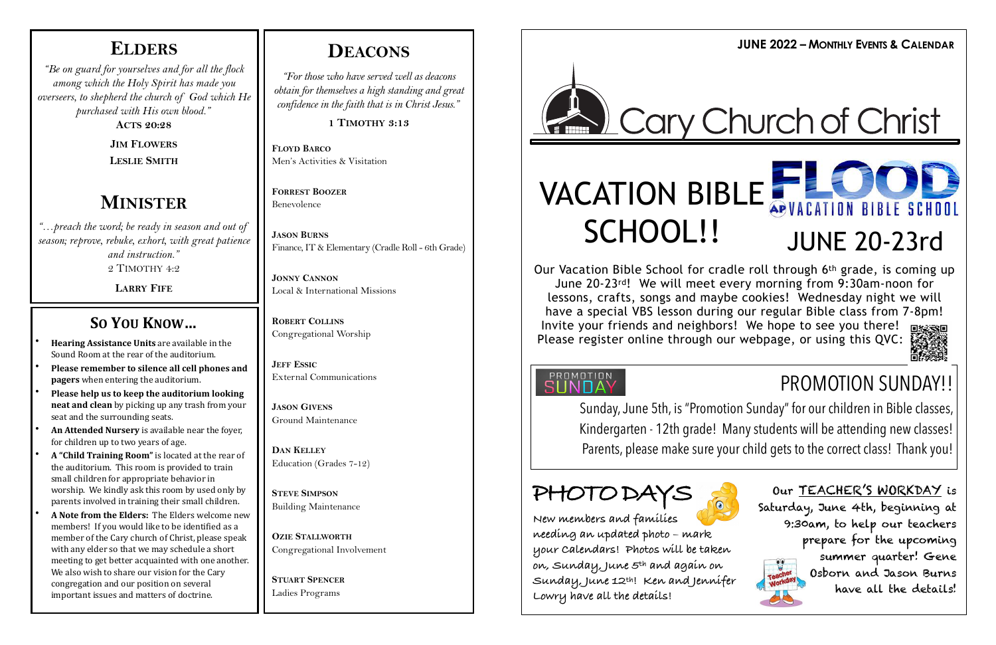### **ELDERS**

*"Be on guard for yourselves and for all the flock among which the Holy Spirit has made you overseers, to shepherd the church of God which He purchased with His own blood."*

**ACTS 20:28**

**JIM FLOWERS LESLIE SMITH**

### **MINISTER**

*"…preach the word; be ready in season and out of season; reprove, rebuke, exhort, with great patience and instruction."* 2 TIMOTHY 4:2

**LARRY FIFE**

### **SO YOU KNOW...**

- **Hearing Assistance Units** are available in the Sound Room at the rear of the auditorium.
- **Please remember to silence all cell phones and pagers** when entering the auditorium.
- Please help us to keep the auditorium looking **neat and clean** by picking up any trash from your seat and the surrounding seats.
- An Attended Nursery is available near the fover, for children up to two years of age.
- A "Child Training Room" is located at the rear of the auditorium. This room is provided to train small children for appropriate behavior in worship. We kindly ask this room by used only by parents involved in training their small children.
- A Note from the Elders: The Elders welcome new members! If you would like to be identified as a member of the Cary church of Christ, please speak with any elder so that we may schedule a short meeting to get better acquainted with one another. We also wish to share our vision for the Cary congregation and our position on several important issues and matters of doctrine.

**JUNE 2022 – MONTHLY EVENTS & CALENDAR DEACONS**

## Cary Church of Christ

*"For those who have served well as deacons obtain for themselves a high standing and great confidence in the faith that is in Christ Jesus."*

**1 TIMOTHY 3:13**

**FLOYD BARCO** Men's Activities & Visitation

**FORREST BOOZER** Benevolence

**JASON BURNS** Finance, IT & Elementary (Cradle Roll - 6th Grade)

**JONNY CANNON** Local & International Missions

**ROBERT COLLINS** Congregational Worship

**JEFF ESSIC** External Communications

**JASON GIVENS** Ground Maintenance

**DAN KELLEY** Education (Grades 7-12)

**STEVE SIMPSON** Building Maintenance

**OZIE STALLWORTH** Congregational Involvement

**STUART SPENCER** Ladies Programs



# SCHOOL!! JUNE 20-23rd

Our Vacation Bible School for cradle roll through 6th grade, is coming up June 20-23rd! We will meet every morning from 9:30am-noon for lessons, crafts, songs and maybe cookies! Wednesday night we will have a special VBS lesson during our regular Bible class from 7-8pm! Invite your friends and neighbors! We hope to see you there! Please register online through our webpage, or using this QVC:

### **PROMOTION**<br>SUNDAY





Sunday, June 5th, is "Promotion Sunday" for our children in Bible classes, Kindergarten - 12th grade! Many students will be attending new classes! Parents, please make sure your child gets to the correct class! Thank you!

## **PHOTO DAYS**

**New members and families needing an updated photo – mark your Calendars! Photos will be taken on, Sunday, June 5th and again on Sunday, June 12th! Ken and Jennifer Lowry have all the details!**

Our TEACHER'S WORKDAY is Saturday, June 4th, beginning at 9:30am, to help our teachers prepare for the upcoming summer quarter! Gene Osborn and Jason Burns have all the details!